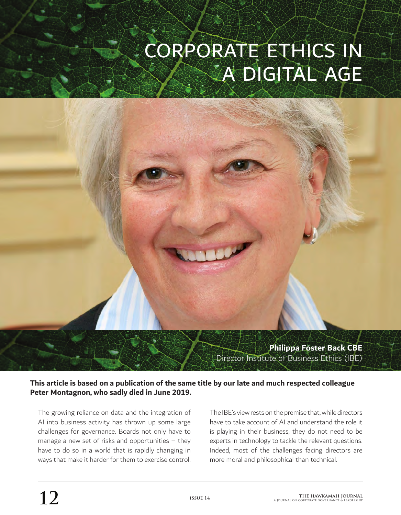# CORPORATE ETHICS IN A DIGITAL AGE



**This article is based on a publication of the same title by our late and much respected colleague Peter Montagnon, who sadly died in June 2019.**

The growing reliance on data and the integration of AI into business activity has thrown up some large challenges for governance. Boards not only have to manage a new set of risks and opportunities – they have to do so in a world that is rapidly changing in ways that make it harder for them to exercise control. The IBE's view rests on the premise that, while directors have to take account of AI and understand the role it is playing in their business, they do not need to be experts in technology to tackle the relevant questions. Indeed, most of the challenges facing directors are more moral and philosophical than technical.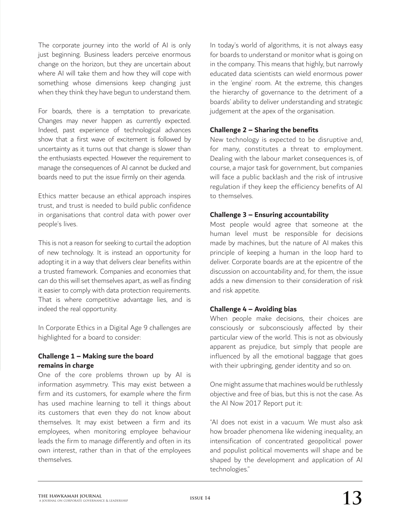The corporate journey into the world of AI is only just beginning. Business leaders perceive enormous change on the horizon, but they are uncertain about where AI will take them and how they will cope with something whose dimensions keep changing just when they think they have begun to understand them.

For boards, there is a temptation to prevaricate. Changes may never happen as currently expected. Indeed, past experience of technological advances show that a first wave of excitement is followed by uncertainty as it turns out that change is slower than the enthusiasts expected. However the requirement to manage the consequences of AI cannot be ducked and boards need to put the issue firmly on their agenda.

Ethics matter because an ethical approach inspires trust, and trust is needed to build public confidence in organisations that control data with power over people's lives.

This is not a reason for seeking to curtail the adoption of new technology. It is instead an opportunity for adopting it in a way that delivers clear benefits within a trusted framework. Companies and economies that can do this will set themselves apart, as well as finding it easier to comply with data protection requirements. That is where competitive advantage lies, and is indeed the real opportunity.

In Corporate Ethics in a Digital Age 9 challenges are highlighted for a board to consider:

# **Challenge 1 – Making sure the board remains in charge**

One of the core problems thrown up by AI is information asymmetry. This may exist between a firm and its customers, for example where the firm has used machine learning to tell it things about its customers that even they do not know about themselves. It may exist between a firm and its employees, when monitoring employee behaviour leads the firm to manage differently and often in its own interest, rather than in that of the employees themselves.

In today's world of algorithms, it is not always easy for boards to understand or monitor what is going on in the company. This means that highly, but narrowly educated data scientists can wield enormous power in the 'engine' room. At the extreme, this changes the hierarchy of governance to the detriment of a boards' ability to deliver understanding and strategic judgement at the apex of the organisation.

# **Challenge 2 – Sharing the benefits**

New technology is expected to be disruptive and, for many, constitutes a threat to employment. Dealing with the labour market consequences is, of course, a major task for government, but companies will face a public backlash and the risk of intrusive regulation if they keep the efficiency benefits of AI to themselves.

# **Challenge 3 – Ensuring accountability**

Most people would agree that someone at the human level must be responsible for decisions made by machines, but the nature of AI makes this principle of keeping a human in the loop hard to deliver. Corporate boards are at the epicentre of the discussion on accountability and, for them, the issue adds a new dimension to their consideration of risk and risk appetite.

# **Challenge 4 – Avoiding bias**

When people make decisions, their choices are consciously or subconsciously affected by their particular view of the world. This is not as obviously apparent as prejudice, but simply that people are influenced by all the emotional baggage that goes with their upbringing, gender identity and so on.

One might assume that machines would be ruthlessly objective and free of bias, but this is not the case. As the AI Now 2017 Report put it:

"AI does not exist in a vacuum. We must also ask how broader phenomena like widening inequality, an intensification of concentrated geopolitical power and populist political movements will shape and be shaped by the development and application of AI technologies."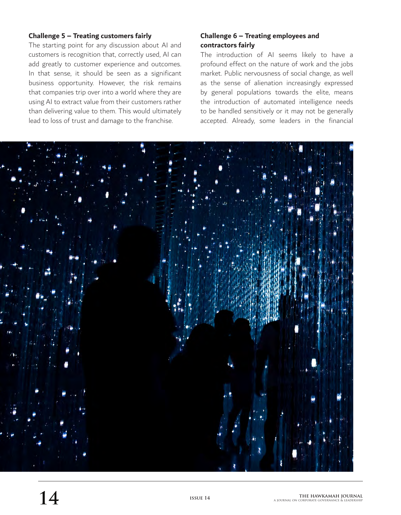### **Challenge 5 – Treating customers fairly**

The starting point for any discussion about AI and customers is recognition that, correctly used, AI can add greatly to customer experience and outcomes. In that sense, it should be seen as a significant business opportunity. However, the risk remains that companies trip over into a world where they are using AI to extract value from their customers rather than delivering value to them. This would ultimately lead to loss of trust and damage to the franchise.

# **Challenge 6 – Treating employees and contractors fairly**

The introduction of AI seems likely to have a profound effect on the nature of work and the jobs market. Public nervousness of social change, as well as the sense of alienation increasingly expressed by general populations towards the elite, means the introduction of automated intelligence needs to be handled sensitively or it may not be generally accepted. Already, some leaders in the financial